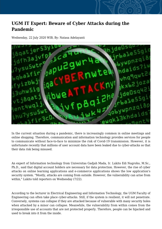## **UGM IT Expert: Beware of Cyber Attacks during the Pandemic**

Wednesday, 22 July 2020 WIB, By: Natasa Adelayanti



In the current situation during a pandemic, there is increasingly common in online meetings and online shopping. Therefore, communication and information technology provides services for people to communicate without face-to-face to minimize the risk of Covid-19 transmission. However, it is unfortunate recently that millions of user account data have been leaked due to cyber-attacks so that their data risk being misused.

An expert of Information technology from Universitas Gadjah Mada, Ir. Lukito Edi Nugroho, M.Sc., Ph.D., said that digital account holders are necessary for data protection. However, the rise of cyber attacks on online learning applications and e-commerce applications shows the low application's security system. "Mostly, attacks are coming from outside. However, the vulnerability can arise from within," Lukito told reporters on Wednesday (7/22).

According to the lecturer in Electrical Engineering and Information Technology, the UGM Faculty of Engineering can often take place cyber-attacks. Still, if the system is resilient, it will not penetrate. Conversely, systems can collapse if they are attacked because of vulnerable with many security holes when attacked by a minor can collapse. Meanwhile, the vulnerability from within comes from the irresponsible use of accounts that are not protected properly. Therefore, people can be hijacked and used to break into it from the inside.